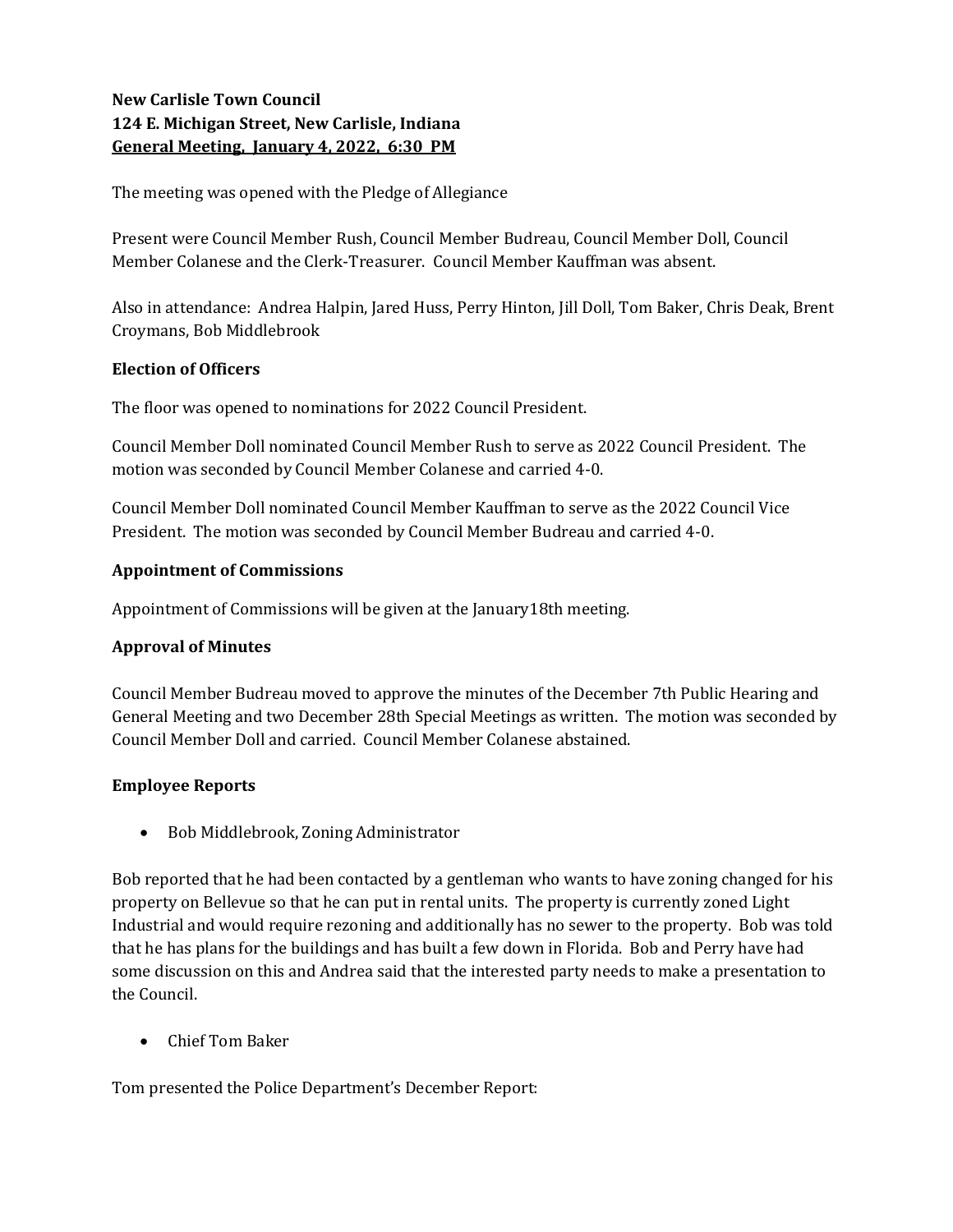# New Carlisle Town Council 124 E. Michigan Street, New Carlisle, Indiana General Meeting, January 4, 2022, 6:30 PM

The meeting was opened with the Pledge of Allegiance

Present were Council Member Rush, Council Member Budreau, Council Member Doll, Council Member Colanese and the Clerk-Treasurer. Council Member Kauffman was absent.

Also in attendance: Andrea Halpin, Jared Huss, Perry Hinton, Jill Doll, Tom Baker, Chris Deak, Brent Croymans, Bob Middlebrook

## Election of Officers

The floor was opened to nominations for 2022 Council President.

Council Member Doll nominated Council Member Rush to serve as 2022 Council President. The motion was seconded by Council Member Colanese and carried 4-0.

Council Member Doll nominated Council Member Kauffman to serve as the 2022 Council Vice President. The motion was seconded by Council Member Budreau and carried 4-0.

## Appointment of Commissions

Appointment of Commissions will be given at the January18th meeting.

## Approval of Minutes

Council Member Budreau moved to approve the minutes of the December 7th Public Hearing and General Meeting and two December 28th Special Meetings as written. The motion was seconded by Council Member Doll and carried. Council Member Colanese abstained.

## Employee Reports

Bob Middlebrook, Zoning Administrator

Bob reported that he had been contacted by a gentleman who wants to have zoning changed for his property on Bellevue so that he can put in rental units. The property is currently zoned Light Industrial and would require rezoning and additionally has no sewer to the property. Bob was told that he has plans for the buildings and has built a few down in Florida. Bob and Perry have had some discussion on this and Andrea said that the interested party needs to make a presentation to the Council.

Chief Tom Baker

Tom presented the Police Department's December Report: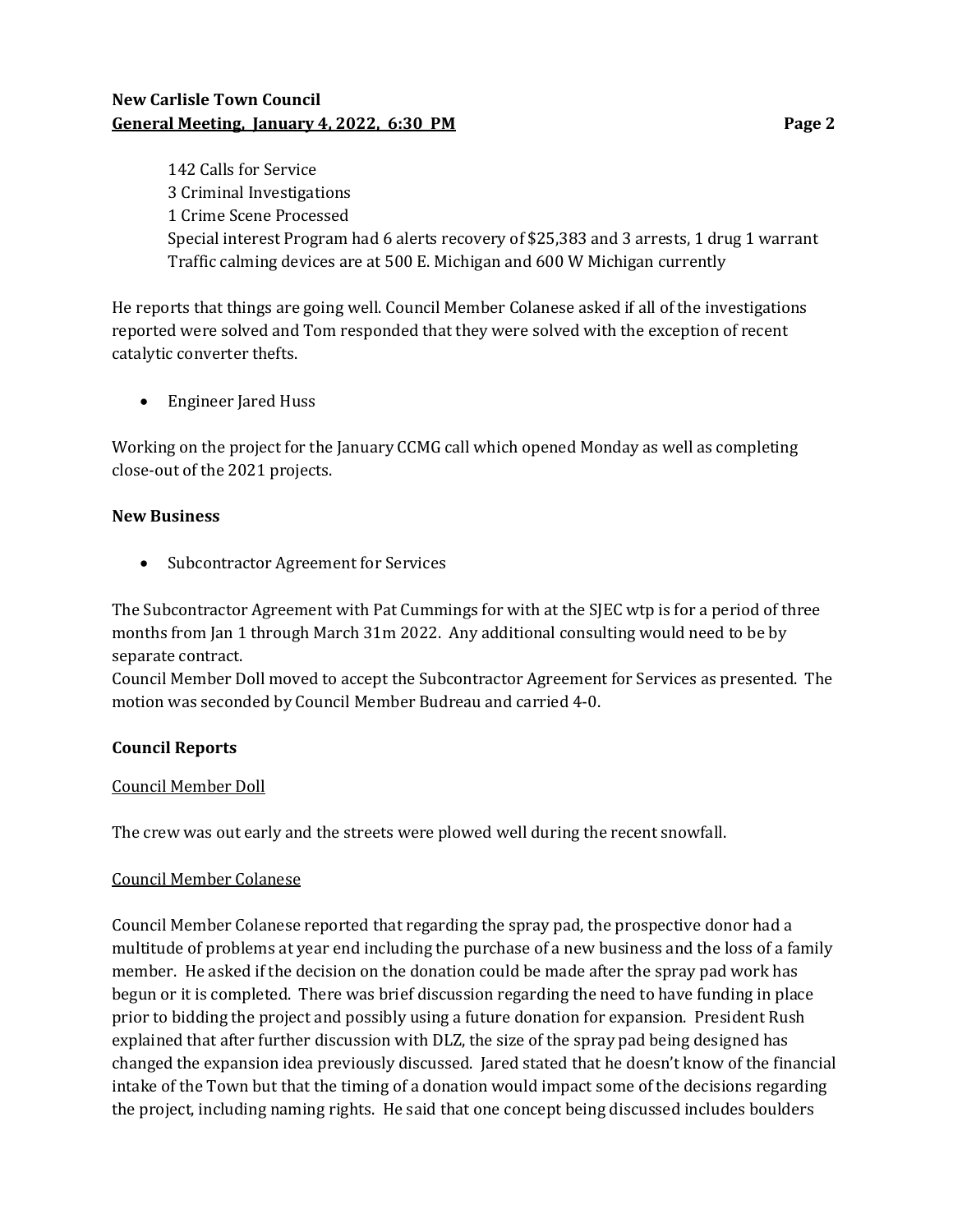# New Carlisle Town Council General Meeting, January 4, 2022, 6:30 PM **Page 2** Page 2

142 Calls for Service 3 Criminal Investigations 1 Crime Scene Processed Special interest Program had 6 alerts recovery of \$25,383 and 3 arrests, 1 drug 1 warrant Traffic calming devices are at 500 E. Michigan and 600 W Michigan currently

He reports that things are going well. Council Member Colanese asked if all of the investigations reported were solved and Tom responded that they were solved with the exception of recent catalytic converter thefts.

Engineer Jared Huss

Working on the project for the January CCMG call which opened Monday as well as completing close-out of the 2021 projects.

## New Business

• Subcontractor Agreement for Services

The Subcontractor Agreement with Pat Cummings for with at the SJEC wtp is for a period of three months from Jan 1 through March 31m 2022. Any additional consulting would need to be by separate contract.

Council Member Doll moved to accept the Subcontractor Agreement for Services as presented. The motion was seconded by Council Member Budreau and carried 4-0.

## Council Reports

#### Council Member Doll

The crew was out early and the streets were plowed well during the recent snowfall.

#### Council Member Colanese

Council Member Colanese reported that regarding the spray pad, the prospective donor had a multitude of problems at year end including the purchase of a new business and the loss of a family member. He asked if the decision on the donation could be made after the spray pad work has begun or it is completed. There was brief discussion regarding the need to have funding in place prior to bidding the project and possibly using a future donation for expansion. President Rush explained that after further discussion with DLZ, the size of the spray pad being designed has changed the expansion idea previously discussed. Jared stated that he doesn't know of the financial intake of the Town but that the timing of a donation would impact some of the decisions regarding the project, including naming rights. He said that one concept being discussed includes boulders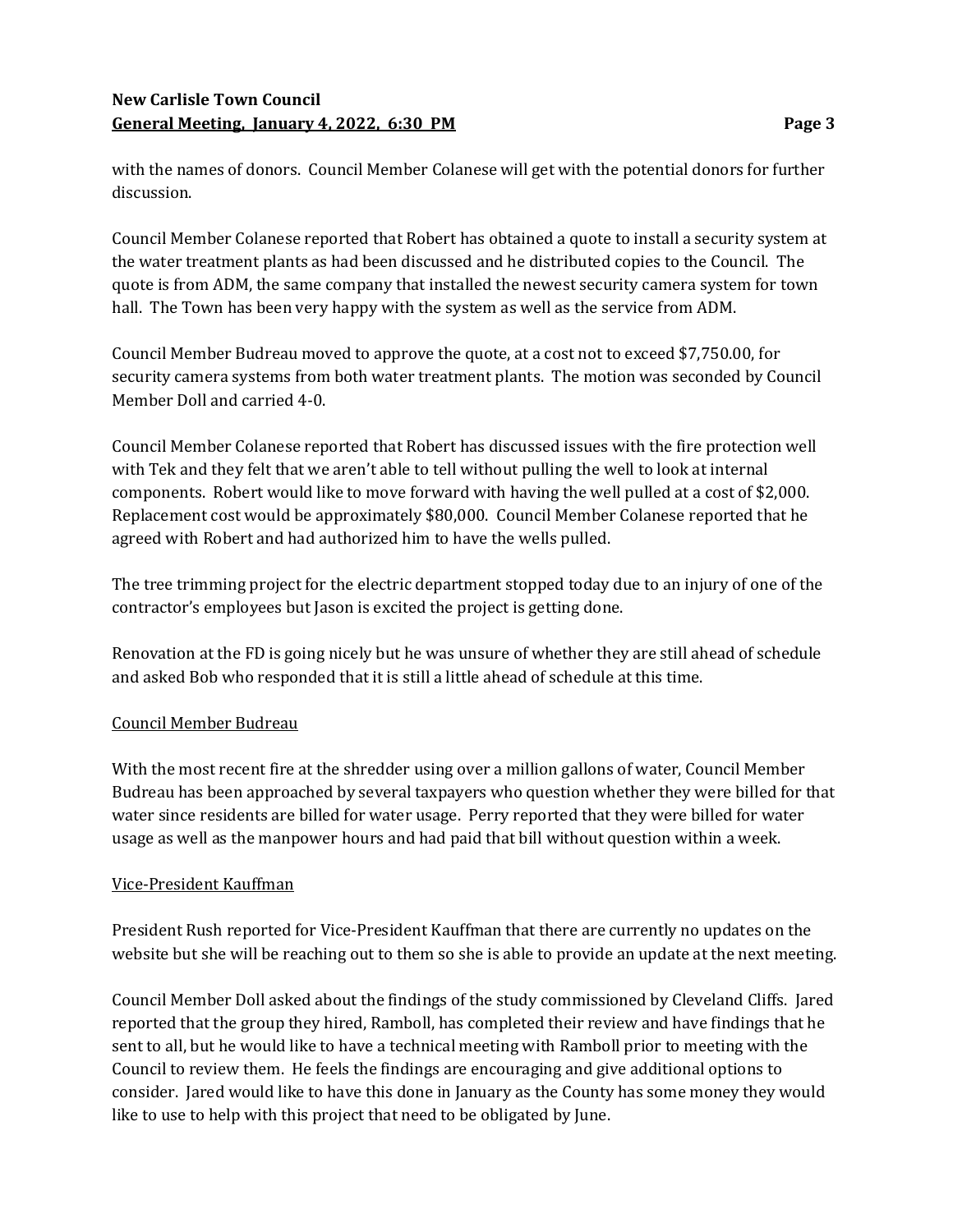# New Carlisle Town Council General Meeting, January 4, 2022, 6:30 PM

with the names of donors. Council Member Colanese will get with the potential donors for further discussion.

Council Member Colanese reported that Robert has obtained a quote to install a security system at the water treatment plants as had been discussed and he distributed copies to the Council. The quote is from ADM, the same company that installed the newest security camera system for town hall. The Town has been very happy with the system as well as the service from ADM.

Council Member Budreau moved to approve the quote, at a cost not to exceed \$7,750.00, for security camera systems from both water treatment plants. The motion was seconded by Council Member Doll and carried 4-0.

Council Member Colanese reported that Robert has discussed issues with the fire protection well with Tek and they felt that we aren't able to tell without pulling the well to look at internal components. Robert would like to move forward with having the well pulled at a cost of \$2,000. Replacement cost would be approximately \$80,000. Council Member Colanese reported that he agreed with Robert and had authorized him to have the wells pulled.

The tree trimming project for the electric department stopped today due to an injury of one of the contractor's employees but Jason is excited the project is getting done.

Renovation at the FD is going nicely but he was unsure of whether they are still ahead of schedule and asked Bob who responded that it is still a little ahead of schedule at this time.

## Council Member Budreau

With the most recent fire at the shredder using over a million gallons of water, Council Member Budreau has been approached by several taxpayers who question whether they were billed for that water since residents are billed for water usage. Perry reported that they were billed for water usage as well as the manpower hours and had paid that bill without question within a week.

## Vice-President Kauffman

President Rush reported for Vice-President Kauffman that there are currently no updates on the website but she will be reaching out to them so she is able to provide an update at the next meeting.

Council Member Doll asked about the findings of the study commissioned by Cleveland Cliffs. Jared reported that the group they hired, Ramboll, has completed their review and have findings that he sent to all, but he would like to have a technical meeting with Ramboll prior to meeting with the Council to review them. He feels the findings are encouraging and give additional options to consider. Jared would like to have this done in January as the County has some money they would like to use to help with this project that need to be obligated by June.